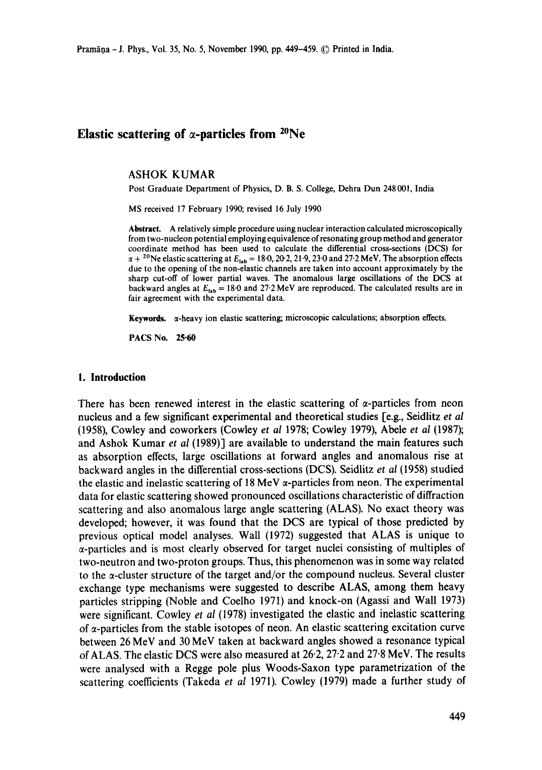# **Elastic scattering of**  $\alpha$ **-particles from <sup>20</sup>Ne**

#### ASHOK KUMAR

Post Graduate Department of Physics, D. B. S. College, Dehra Dun 248 00t, India

MS received 17 February 1990; revised 16 July 1990

**Abstraet.** A relatively simple procedure using nuclear interaction calculated microscopically from two-nucleon potential employing equivalence of resonating group method and generator coordinate method has been used to calculate the differential cross-sections (DCS) for  $\alpha + {}^{20}$ Ne elastic scattering at  $E_{lab} = 18.0$ , 20.2, 21.9, 23.0 and 27.2 MeV. The absorption effects due to the opening of the non-elastic channels are taken into account approximately by **the**  sharp cut-off of lower partial waves. The anomalous large oscillations of the DCS at backward angles at  $E_{lab} = 18.0$  and 27.2 MeV are reproduced. The calculated results are in fair agreement with the experimental data.

Keywords.  $\alpha$ -heavy ion elastic scattering; microscopic calculations; absorption effects.

PACS No. **25"60** 

### **1. Introduction**

There has been renewed interest in the elastic scattering of  $\alpha$ -particles from neon nucleus and a few significant experimental and theoretical studies [e.g., Seidlitz *et al*  (1958), Cowley and coworkers (Cowley *et al* 1978; Cowley 1979), Abele *et al* (1987); and Ashok Kumar *et al* (1989)] are available to understand the main features such as absorption effects, large oscillations at forward angles and anomalous rise at backward angles in the differential cross-sections (DCS). Seidlitz *et al* (1958) studied the elastic and inelastic scattering of 18 MeV  $\alpha$ -particles from neon. The experimental data for elastic scattering showed pronounced oscillations characteristic of diffraction scattering and also anomalous large angle scattering (ALAS). No exact theory was developed; however, it was found that the DCS are typical of those predicted by previous optical model analyses. Wall (1972) suggested that ALAS is unique to a-particles and is most clearly observed for target nuclei consisting of multiples of two-neutron and two-proton groups. Thus, this phenomenon was in some way related to the a-cluster structure of the target and/or the compound nucleus. Several cluster exchange type mechanisms were suggested to describe ALAS, among them heavy particles stripping (Noble and Coelho 1971) and knock-on (Agassi and Wall 1973) were significant. Cowley *et al* (1978) investigated the elastic and inelastic scattering of  $\alpha$ -particles from the stable isotopes of neon. An elastic scattering excitation curve between 26 MeV and 30 MeV taken at backward angles showed a resonance typical of ALAS. The elastic DCS were also measured at  $26.2$ ,  $27.2$  and  $27.8$  MeV. The results were analysed with a Regge pole plus Woods-Saxon type parametrization of the scattering coefficients (Takeda *et al* 1971). Cowley (1979) made a further study of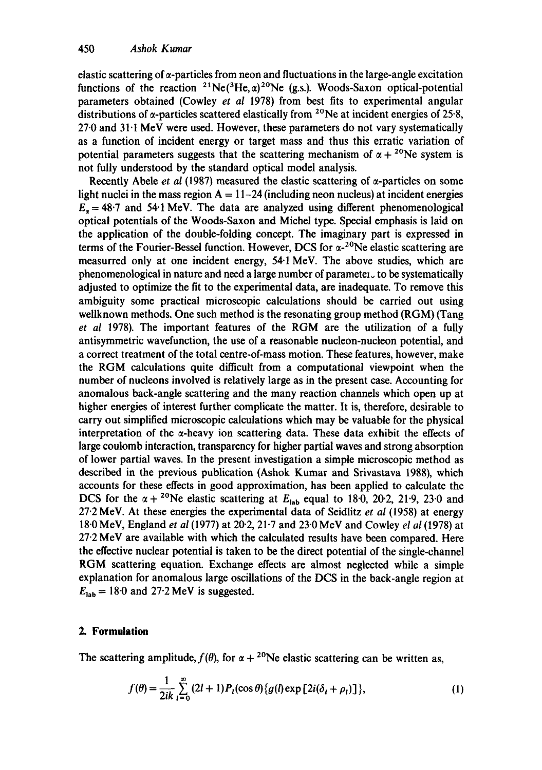elastic scattering of  $\alpha$ -particles from neon and fluctuations in the large-angle excitation functions of the reaction <sup>21</sup>Ne(<sup>3</sup>He, $\alpha$ )<sup>20</sup>Ne (g.s.). Woods-Saxon optical-potential parameters obtained (Cowley *et al* 1978) from best fits to experimental angular distributions of  $\alpha$ -particles scattered elastically from <sup>20</sup>Ne at incident energies of 25-8,  $27.0$  and  $31.1$  MeV were used. However, these parameters do not vary systematically as a function of incident energy or target mass and thus this erratic variation of potential parameters suggests that the scattering mechanism of  $\alpha + {}^{20}Ne$  system is not fully understood by the standard optical model analysis.

Recently Abele *et al* (1987) measured the elastic scattering of  $\alpha$ -particles on some light nuclei in the mass region  $A = 11-24$  (including neon nucleus) at incident energies  $E_a = 48.7$  and 54.1 MeV. The data are analyzed using different phenomenological optical potentials of the Woods-Saxon and Michel type. Special emphasis is laid on the application of the double-folding concept. The imaginary part is expressed in terms of the Fourier-Bessel function. However, DCS for  $\alpha$ -<sup>20</sup>Ne elastic scattering are measurred only at one incident energy, 54.1 MeV. The above studies, which are phenomenological in nature and need a large number of parameter  $\cup$  to be systematically adjusted to optimize the fit to the experimental data, are inadequate. To remove this ambiguity some practical microscopic calculations should be carried out using wellknown methods. One such method is the resonating group method (RGM) (Tang *et al* 1978). The important features of the RGM are the utilization of a fully antisymmetric wavefunction, the use of a reasonable nucleon-nucleon potential, and a correct treatment of the total centre-of-mass motion. These features, however, make the RGM calculations quite difficult from a computational viewpoint when the number of nucleons involved is relatively large as in the present case. Accounting for anomalous back-angle scattering and the many reaction channels which open up at higher energies of interest further complicate the matter. It is, therefore, desirable to carry out simplified microscopic calculations which may be valuable for the physical interpretation of the  $\alpha$ -heavy ion scattering data. These data exhibit the effects of large coulomb interaction, transparency for higher partial waves and strong absorption of lower partial waves. In the present investigation a simple microscopic method as described in the previous publication (Ashok Kumar and Srivastava 1988), which accounts for these effects in good approximation, has been applied to calculate the DCS for the  $\alpha + {}^{20}Ne$  elastic scattering at  $E_{lab}$  equal to 18-0, 20-2, 21-9, 23-0 and 27"2 MeV. At these energies the experimental data of Seidlitz *et al* (1958) at energy 18-0 MeV, England *et al* (1977) at 20.2, 21-7 and 23-0 MeV and Cowley *el al* (1978) at  $27.2$  MeV are available with which the calculated results have been compared. Here the effective nuclear potential is taken to be the direct potential of the single-channel RGM scattering equation. Exchange effects are almost neglected while a simple explanation for anomalous large oscillations of the DCS in the back-angle region at  $E_{\text{lab}} = 18.0$  and 27.2 MeV is suggested.

# **2. Formulation**

The scattering amplitude,  $f(\theta)$ , for  $\alpha + {}^{20}Ne$  elastic scattering can be written as,

$$
f(\theta) = \frac{1}{2ik} \sum_{l=0}^{\infty} (2l+1) P_l(\cos \theta) \{g(l) \exp [2i(\delta_l + \rho_l)]\},
$$
 (1)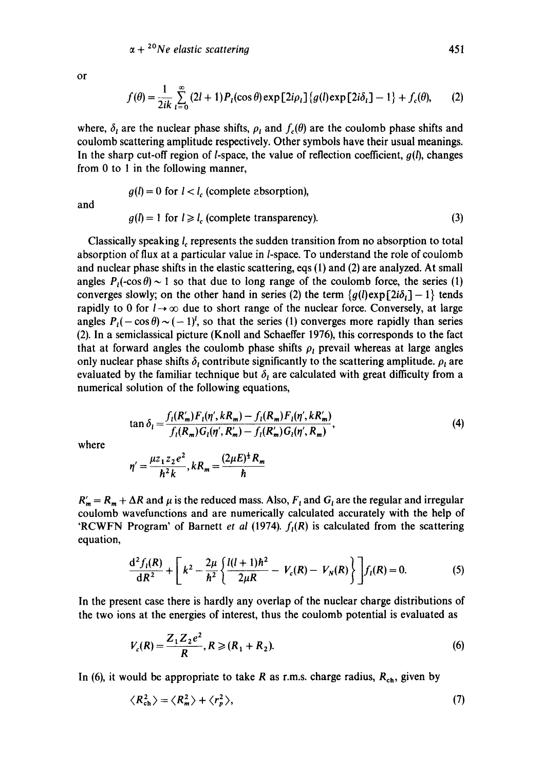$\alpha + {}^{20}Ne$  *elastic scattering* 451

or

$$
f(\theta) = \frac{1}{2ik} \sum_{l=0}^{\infty} (2l+1) P_l(\cos \theta) \exp\left[2i\rho_l\right] \{g(l) \exp\left[2i\delta_l\right] - 1\} + f_c(\theta), \tag{2}
$$

where,  $\delta_l$  are the nuclear phase shifts,  $\rho_l$  and  $f_c(\theta)$  are the coulomb phase shifts and coulomb scattering amplitude respectively. Other symbols have their usual meanings. In the sharp cut-off region of *l*-space, the value of reflection coefficient,  $g(l)$ , changes from 0 to 1 in the following manner,

and

$$
g(l) = 0 \text{ for } l < l_c \text{ (complete absorption)},
$$
\n
$$
g(l) = 1 \text{ for } l \ge l_c \text{ (complete transparency).} \tag{3}
$$

Classically speaking *l<sub>c</sub>* represents the sudden transition from no absorption to total absorption of flux at a particular value in *l*-space. To understand the role of coulomb and nuclear phase shifts in the elastic scattering, eqs (1) and (2) are analyzed. At small angles  $P_1(-\cos\theta) \sim 1$  so that due to long range of the coulomb force, the series (1) converges slowly; on the other hand in series (2) the term  $\{g(t) \exp[2i\delta_t] - 1\}$  tends rapidly to 0 for  $l \rightarrow \infty$  due to short range of the nuclear force. Conversely, at large angles  $P_1(-\cos \theta) \sim (-1)^l$ , so that the series (1) converges more rapidly than series (2). In a semiclassical picture (Knoll and Schaeffer 1976), this corresponds to the fact that at forward angles the coulomb phase shifts  $\rho_l$  prevail whereas at large angles only nuclear phase shifts  $\delta_i$  contribute significantly to the scattering amplitude.  $\rho_i$  are evaluated by the familiar technique but  $\delta_l$  are calculated with great difficulty from a numerical solution of the following equations,

$$
\tan \delta_{l} = \frac{f_{l}(R'_{m})F_{l}(\eta', kR_{m}) - f_{l}(R_{m})F_{l}(\eta', kR'_{m})}{f_{l}(R_{m})G_{l}(\eta', R'_{m}) - f_{l}(R'_{m})G_{l}(\eta', R_{m})},
$$
\n(4)

where

$$
\eta' = \frac{\mu z_1 z_2 e^2}{\hbar^2 k}, kR_m = \frac{(2\mu E)^{\frac{1}{2}} R_m}{\hbar}
$$

 $R'_m = R_m + \Delta R$  and  $\mu$  is the reduced mass. Also,  $F_t$  and  $G_t$  are the regular and irregular coulomb wavefunctions and are numerically calculated accurately with the help of 'RCWFN Program' of Barnett *et al* (1974).  $f<sub>1</sub>(R)$  is calculated from the scattering equation,

$$
\frac{d^2 f_i(R)}{dR^2} + \left[k^2 - \frac{2\mu}{\hbar^2} \left\{ \frac{l(l+1)\hbar^2}{2\mu R} - V_c(R) - V_N(R) \right\} \right] f_i(R) = 0.
$$
 (5)

In the present case there is hardly any overlap of the nuclear charge distributions of the two ions at the energies of interest, thus the coulomb potential is evaluated as

$$
V_c(R) = \frac{Z_1 Z_2 e^2}{R}, R \geqslant (R_1 + R_2). \tag{6}
$$

In (6), it would be appropriate to take R as r.m.s. charge radius,  $R_{ch}$ , given by

$$
\langle R_{\rm ch}^2 \rangle = \langle R_m^2 \rangle + \langle r_p^2 \rangle, \tag{7}
$$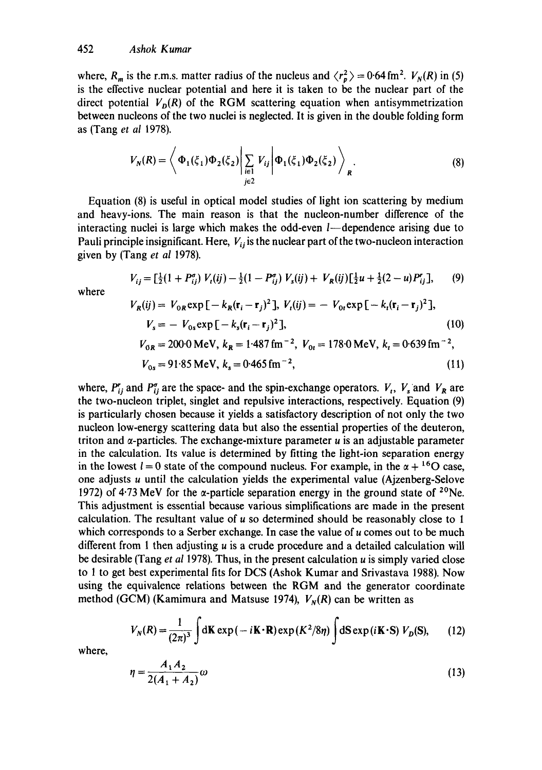where,  $R_m$  is the r.m.s. matter radius of the nucleus and  $\langle r_a^2 \rangle = 0.64$  fm<sup>2</sup>.  $V_N(R)$  in (5) is the effective nuclear potential and here it is taken to be the nuclear part of the direct potential  $V_p(R)$  of the RGM scattering equation when antisymmetrization between nucleons of the two nuclei is neglected. It is given in the double folding form as (Tang *et al* 1978).

$$
V_N(R) = \left\langle \Phi_1(\xi_1)\Phi_2(\xi_2) \Big| \sum_{\substack{i \in I \\ j \in 2}} V_{ij} \Big| \Phi_1(\xi_1)\Phi_2(\xi_2) \right\rangle_R.
$$
 (8)

Equation (8) is useful in optical model studies of light ion scattering by medium and heavy-ions. The main reason is that the nucleon-number difference of the interacting nuclei is large which makes the odd-even  $l$ —dependence arising due to Pauli principle insignificant. Here,  $V_{ij}$  is the nuclear part of the two-nucleon interaction given by (Tang *et al* 1978).

$$
V_{ij} = \left[\frac{1}{2}(1+P_{ij}^{\sigma})V_i(ij) - \frac{1}{2}(1-P_{ij}^{\sigma})V_s(ij) + V_R(ij)\right]\left[\frac{1}{2}u + \frac{1}{2}(2-u)P_{ij}^{\sigma}\right],\tag{9}
$$

where

$$
V_R(ij) = V_{0R} \exp\left[-k_R(\mathbf{r}_i - \mathbf{r}_j)^2\right], V_t(ij) = -V_{0t} \exp\left[-k_t(\mathbf{r}_i - \mathbf{r}_j)^2\right],
$$
  
\n
$$
V_s = -V_{0s} \exp\left[-k_s(\mathbf{r}_i - \mathbf{r}_j)^2\right],
$$
  
\n
$$
V_{0R} = 200 \text{ MeV}, k_R = 1.487 \text{ fm}^{-2}, V_{0t} = 178 \text{ MeV}, k_t = 0.639 \text{ fm}^{-2},
$$
 (10)

$$
V_{0s} = 91.85 \text{ MeV}, k_s = 0.465 \text{ fm}^{-2}, \tag{11}
$$

where,  $P_{ij}^r$  and  $P_{ij}^{\sigma}$  are the space- and the spin-exchange operators.  $V_t$ ,  $V_s$  and  $V_R$  are the two-nucleon triplet, singlet and repulsive interactions, respectively. Equation (9) is particularly chosen because it yields a satisfactory description of not only the two nucleon low-energy scattering data but also the essential properties of the deuteron, triton and  $\alpha$ -particles. The exchange-mixture parameter  $\mu$  is an adjustable parameter in the calculation. Its value is determined by fitting the light-ion separation energy in the lowest  $l = 0$  state of the compound nucleus. For example, in the  $\alpha + {}^{16}O$  case, one adjusts u until the calculation yields the experimental value (Ajzenberg-Selove 1972) of 4.73 MeV for the  $\alpha$ -particle separation energy in the ground state of <sup>20</sup>Ne. This adjustment is essential because various simplifications are made in the present calculation. The resultant value of  $u$  so determined should be reasonably close to 1 which corresponds to a Serber exchange. In case the value of u comes out to be much different from 1 then adjusting  $\mu$  is a crude procedure and a detailed calculation will be desirable (Tang *et al* 1978). Thus, in the present calculation u is simply varied close to 1 to get best experimental fits for DCS (Ashok Kumar and Srivastava 1988). Now using the equivalence relations between the RGM and the generator coordinate method (GCM) (Kamimura and Matsuse 1974),  $V_N(R)$  can be written as

$$
V_N(R) = \frac{1}{(2\pi)^3} \int d\mathbf{K} \exp(-i\mathbf{K} \cdot \mathbf{R}) \exp(K^2/8\eta) \int d\mathbf{S} \exp(i\mathbf{K} \cdot \mathbf{S}) V_D(\mathbf{S}), \qquad (12)
$$

where,

$$
\eta = \frac{A_1 A_2}{2(A_1 + A_2)} \omega \tag{13}
$$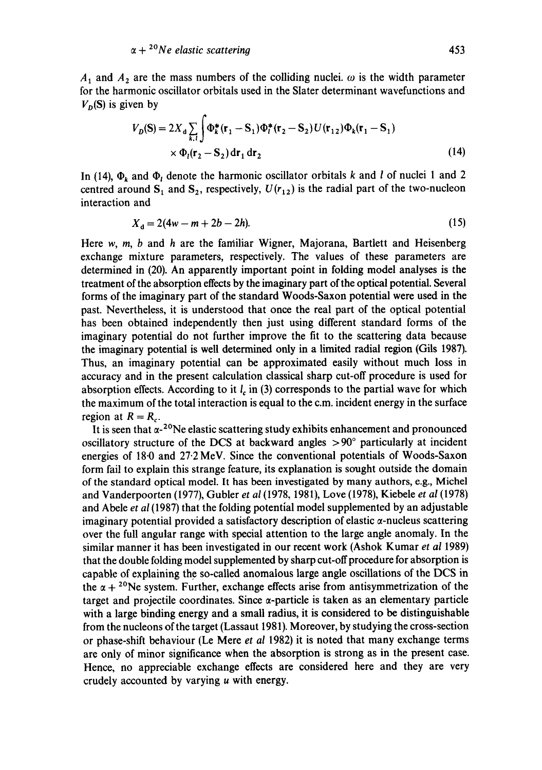$A_1$  and  $A_2$  are the mass numbers of the colliding nuclei,  $\omega$  is the width parameter for the harmonic oscillator orbitals used in the Slater determinant wavefunctions and  $V_p(S)$  is given by

$$
V_D(S) = 2X_d \sum_{k,l} \int \Phi_k^*(\mathbf{r}_1 - \mathbf{S}_1) \Phi_l^*(\mathbf{r}_2 - \mathbf{S}_2) U(\mathbf{r}_{12}) \Phi_k(\mathbf{r}_1 - \mathbf{S}_1)
$$
  
×  $\Phi_l(\mathbf{r}_2 - \mathbf{S}_2) d\mathbf{r}_1 d\mathbf{r}_2$  (14)

In (14),  $\Phi_k$  and  $\Phi_l$  denote the harmonic oscillator orbitals k and l of nuclei 1 and 2 centred around  $S_1$  and  $S_2$ , respectively,  $U(r_{12})$  is the radial part of the two-nucleon interaction and

$$
X_{d} = 2(4w - m + 2b - 2h). \tag{15}
$$

Here w, m, b and h are the familiar Wigner, Majorana, Bartlett and Heisenberg exchange mixture parameters, respectively. The values of these parameters are determined in (20). An apparently important point in folding model analyses is the treatment of the absorption effects by the imaginary part of the optical potential. Several forms of the imaginary part of the standard Woods-Saxon potential were used in the past. Nevertheless, it is understood that once the real part of the optical potential has been obtained independently then just using different standard forms of the imaginary potential do not further improve the fit to the scattering data because the imaginary potential is well determined only in a limited radial region (Gils 1987). Thus, an imaginary potential can be approximated easily without much loss in accuracy and in the present calculation classical sharp cut-off procedure is used for absorption effects. According to it  $l_c$  in (3) corresponds to the partial wave for which the maximum of the total interaction is equal to the c.m. incident energy in the surface region at  $R = R_c$ .

It is seen that  $\alpha$ -<sup>20</sup>Ne elastic scattering study exhibits enhancement and pronounced oscillatory structure of the DCS at backward angles  $> 90^\circ$  particularly at incident energies of 18.0 and 27.2 MeV. Since the conventional potentials of Woods-Saxon form fail to explain this strange feature, its explanation is sought outside the domain of the standard optical model. It has been investigated by many authors, e.g., Michel and Vanderpoorten (1977), Gubler *et al* (1978, 1981), Love (1978), Kiebele *et al* (1978) and Abele *et al* (1987) that the folding potential model supplemented by an adjustable imaginary potential provided a satisfactory description of elastic  $\alpha$ -nucleus scattering over the full angular range with special attention to the large angle anomaly. In the similar manner it has been investigated in our recent work (Ashok Kumar *et al* 1989) that the double folding model supplemented by sharp cut-off procedure for absorption is capable of explaining the so-called anomalous large angle oscillations of the DCS in the  $\alpha + {}^{20}Ne$  system. Further, exchange effects arise from antisymmetrization of the target and projectile coordinates. Since  $\alpha$ -particle is taken as an elementary particle with a large binding energy and a small radius, it is considered to be distinguishable from the nucleons of the target (Lassaut 1981). Moreover, by studying the cross-section or phase-shift behaviour (Le Mere *et al* 1982) it is noted that many exchange terms are only of minor significance when the absorption is strong as in the present case. Hence, no appreciable exchange effects are considered here and they are very crudely accounted by varying u with energy.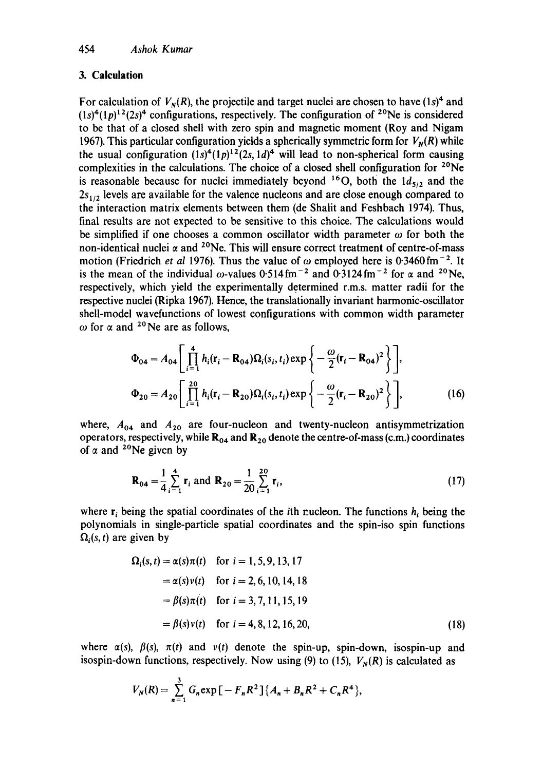# **3. Calculation**

For calculation of  $V_N(R)$ , the projectile and target nuclei are chosen to have (1s)<sup>4</sup> and  $(1s)^4(1p)^{12}(2s)^4$  configurations, respectively. The configuration of <sup>20</sup>Ne is considered to be that of a closed shell with zero spin and magnetic moment (Roy and Nigam 1967). This particular configuration yields a spherically symmetric form for  $V_N(R)$  while the usual configuration  $(1s)^4(1p)^{12}(2s, 1d)^4$  will lead to non-spherical form causing complexities in the calculations. The choice of a closed shell configuration for  $20Ne$ is reasonable because for nuclei immediately beyond <sup>16</sup>O, both the  $1d_{5/2}$  and the  $2s<sub>1/2</sub>$  levels are available for the valence nucleons and are close enough compared to the interaction matrix elements between them (de Shalit and Feshbach 1974). Thus, final results are not expected to be sensitive to this choice. The calculations would be simplified if one chooses a common oscillator width parameter  $\omega$  for both the non-identical nuclei  $\alpha$  and <sup>20</sup>Ne. This will ensure correct treatment of centre-of-mass motion (Friedrich *et al* 1976). Thus the value of  $\omega$  employed here is 0.3460 fm<sup>-2</sup>. It is the mean of the individual  $\omega$ -values 0.514 fm<sup>-2</sup> and 0.3124 fm<sup>-2</sup> for  $\alpha$  and <sup>20</sup>Ne, respectively, which yield the experimentally determined r.m.s, matter radii for the respective nuclei (Ripka 1967). Hence, the translationally invariant harmonic-oscillator shell-model wavefunctions of lowest configurations with common width parameter  $\omega$  for  $\alpha$  and <sup>20</sup>Ne are as follows,

$$
\Phi_{04} = A_{04} \left[ \prod_{i=1}^{4} h_i(\mathbf{r}_i - \mathbf{R}_{04}) \Omega_i(s_i, t_i) \exp \left\{ -\frac{\omega}{2} (\mathbf{r}_i - \mathbf{R}_{04})^2 \right\} \right],
$$
  
\n
$$
\Phi_{20} = A_{20} \left[ \prod_{i=1}^{20} h_i(\mathbf{r}_i - \mathbf{R}_{20}) \Omega_i(s_i, t_i) \exp \left\{ -\frac{\omega}{2} (\mathbf{r}_i - \mathbf{R}_{20})^2 \right\} \right],
$$
\n(16)

where,  $A_{04}$  and  $A_{20}$  are four-nucleon and twenty-nucleon antisymmetrization operators, respectively, while  $\mathbf{R}_{04}$  and  $\mathbf{R}_{20}$  denote the centre-of-mass (c.m.) coordinates of  $\alpha$  and <sup>20</sup>Ne given by

$$
\mathbf{R}_{04} = \frac{1}{4} \sum_{i=1}^{4} \mathbf{r}_i \text{ and } \mathbf{R}_{20} = \frac{1}{20} \sum_{i=1}^{20} \mathbf{r}_i,
$$
 (17)

where  $r_i$  being the spatial coordinates of the *i*th rucleon. The functions  $h_i$  being the polynomials in single-particle spatial coordinates and the spin-iso spin functions  $\Omega_i(s, t)$  are given by

$$
\Omega_i(s, t) = \alpha(s)\pi(t) \quad \text{for } i = 1, 5, 9, 13, 17
$$
\n
$$
= \alpha(s)v(t) \quad \text{for } i = 2, 6, 10, 14, 18
$$
\n
$$
= \beta(s)\pi(t) \quad \text{for } i = 3, 7, 11, 15, 19
$$
\n
$$
= \beta(s)v(t) \quad \text{for } i = 4, 8, 12, 16, 20,
$$
\n(18)

where  $\alpha(s)$ ,  $\beta(s)$ ,  $\pi(t)$  and  $v(t)$  denote the spin-up, spin-down, isospin-up and isospin-down functions, respectively. Now using (9) to (15),  $V<sub>N</sub>(R)$  is calculated as

$$
V_N(R) = \sum_{n=1}^3 G_n \exp \big[ -F_n R^2 \big] \{ A_n + B_n R^2 + C_n R^4 \},\
$$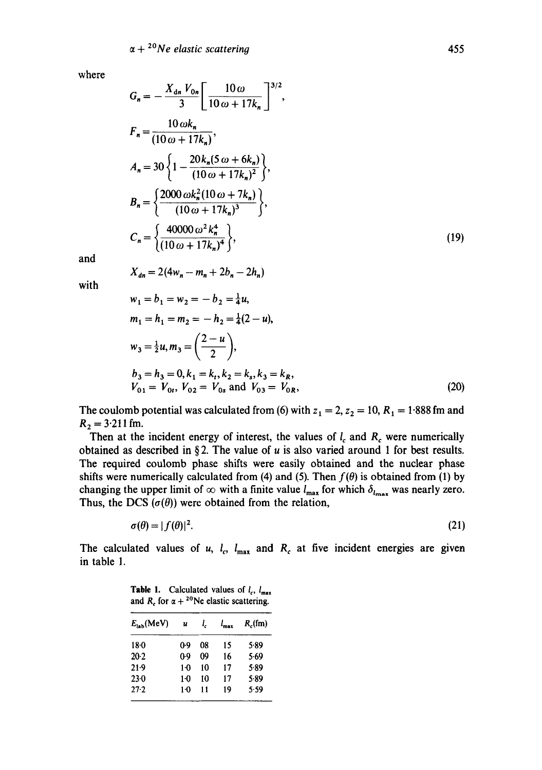$X_{dn} = 2(4w_n - m_n + 2b_n - 2h_n)$ 

where

$$
G_n = -\frac{X_{dn} V_{0n}}{3} \left[ \frac{10 \omega}{10 \omega + 17k_n} \right]^{3/2},
$$
  
\n
$$
F_n = \frac{10 \omega k_n}{(10 \omega + 17k_n)},
$$
  
\n
$$
A_n = 30 \left\{ 1 - \frac{20 k_n (5 \omega + 6k_n)}{(10 \omega + 17k_n)^2} \right\},
$$
  
\n
$$
B_n = \left\{ \frac{2000 \omega k_n^2 (10 \omega + 7k_n)}{(10 \omega + 17k_n)^3} \right\},
$$
  
\n
$$
C_n = \left\{ \frac{40000 \omega^2 k_n^4}{(10 \omega + 17k_n)^4} \right\},
$$
  
\n(19)

and

with

$$
w_1 = b_1 = w_2 = -b_2 = \frac{1}{4}u,
$$
  
\n
$$
m_1 = h_1 = m_2 = -h_2 = \frac{1}{4}(2 - u),
$$
  
\n
$$
w_3 = \frac{1}{2}u, m_3 = \left(\frac{2 - u}{2}\right),
$$
  
\n
$$
b_3 = h_3 = 0, k_1 = k_t, k_2 = k_s, k_3 = k_R,
$$
  
\n
$$
V_{01} = V_{0t}, V_{02} = V_{0s} \text{ and } V_{03} = V_{0R},
$$
\n(20)

The coulomb potential was calculated from (6) with  $z_1 = 2$ ,  $z_2 = 10$ ,  $R_1 = 1.888$  fm and  $R_2 = 3.211$  fm.

Then at the incident energy of interest, the values of  $l_c$  and  $R_c$  were numerically obtained as described in §2. The value of  $u$  is also varied around 1 for best results. The required coulomb phase shifts were easily obtained and the nuclear phase shifts were numerically calculated from (4) and (5). Then  $f(\theta)$  is obtained from (1) by changing the upper limit of  $\infty$  with a finite value  $l_{\text{max}}$  for which  $\delta_{l_{\text{max}}}$  was nearly zero. Thus, the DCS  $(\sigma(\theta))$  were obtained from the relation,

$$
\sigma(\theta) = |f(\theta)|^2. \tag{21}
$$

The calculated values of u,  $l_c$ ,  $l_{\text{max}}$  and  $R_c$  at five incident energies are given in table 1.

| $E_{\rm lab}$ (MeV) | u     | l, | $l_{\rm max}$ | $R_c$ (fm) |
|---------------------|-------|----|---------------|------------|
| $18 - 0$            | $0-9$ | 08 | 15            | 5.89       |
| $20-2$              | 0.9   | 09 | 16            | 5.69       |
| 21.9                | 1.0   | 10 | 17            | 5.89       |
| $23-0$              | $1-0$ | 10 | 17            | 5.89       |
| $27 - 2$            | 1.0   | 11 | 19            | 5.59       |

**Table 1.** Calculated values of  $l_c$ ,  $l_{\text{max}}$ and R, for  $\alpha + {}^{20}Ne$  elastic scattering.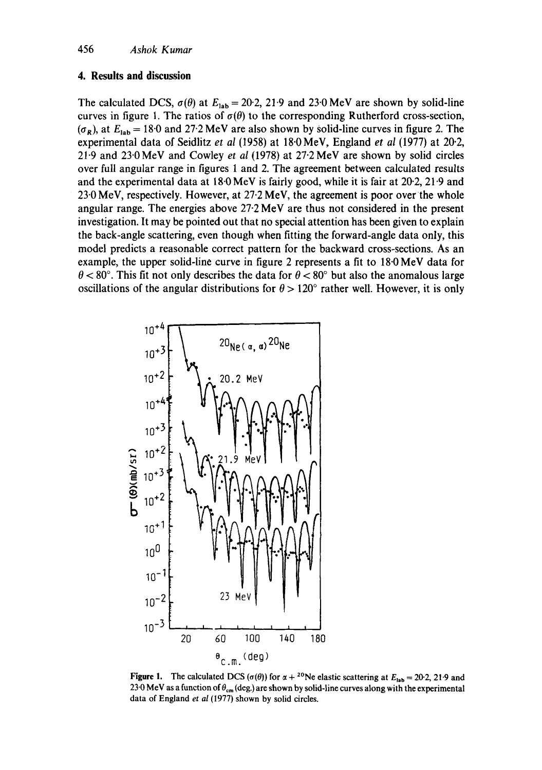## **4. Results and discussion**

The calculated DCS,  $\sigma(\theta)$  at  $E_{lab} = 20.2$ , 21.9 and 23.0 MeV are shown by solid-line curves in figure 1. The ratios of  $\sigma(\theta)$  to the corresponding Rutherford cross-section,  $(\sigma_R)$ , at  $E_{\text{lab}} = 18.0$  and 27.2 MeV are also shown by solid-line curves in figure 2. The experimental data of Seidlitz *et al* (1958) at 18"0 MeV, England *et al* (1977) at 20.2, 21"9 and 23-0MeV and Cowley *et al* (1978) at 27.2 MeV are shown by solid circles over full angular range in figures 1 and 2. The agreement between calculated results and the experimental data at  $18.0 \,\text{MeV}$  is fairly good, while it is fair at  $20.2$ ,  $21.9$  and 23"0 MeV, respectively. However, at 27-2 MeV, the agreement is poor over the whole angular range. The energies above 27.2 MeV are thus not considered in the present investigation. It may be pointed out that no special attention has been given to explain the back-angle scattering, even though when fitting the forward-angle data only, this model predicts a reasonable correct pattern for the backward cross-sections. As an example, the upper solid-line curve in figure 2 represents a fit to 18.0 MeV data for  $\theta$  < 80°. This fit not only describes the data for  $\theta$  < 80° but also the anomalous large oscillations of the angular distributions for  $\theta > 120^\circ$  rather well. However, it is only



**Figure 1.** The calculated DCS ( $\sigma(\theta)$ ) for  $\alpha + {}^{20}Ne$  elastic scattering at  $E_{lab} = 20.2$ , 21.9 and 23.0 MeV as a function of  $\theta_{cm}$  (deg.) are shown by solid-line curves along with the experimental data of England *et al* (1977) shown by solid circles.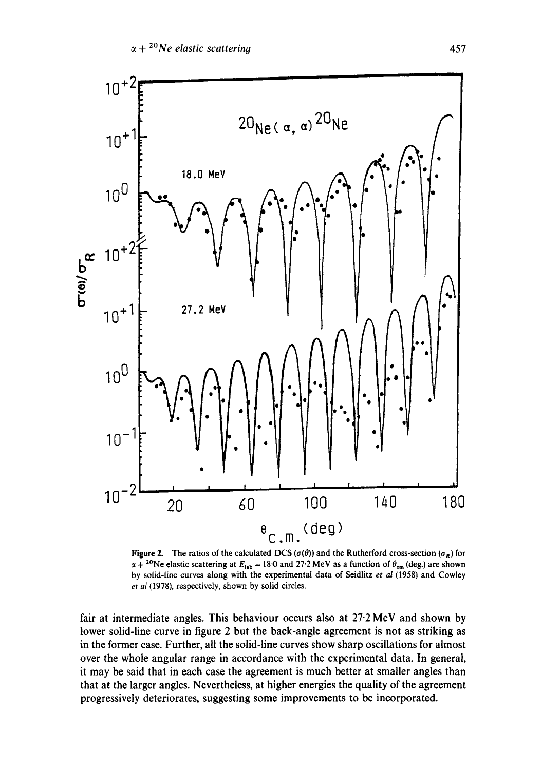

Figure 2. The ratios of the calculated DCS ( $\sigma(\theta)$ ) and the Rutherford cross-section ( $\sigma_R$ ) for  $\alpha + {}^{20}$ Ne elastic scattering at  $E_{lab} = 18.0$  and 27.2 MeV as a function of  $\theta_{cm}$  (deg.) are shown by solid-line curves along with the experimental data of Seidlitz *et aI* (1958) and Cowley *et at* (1978), respectively, shown by solid circles.

fair at intermediate angles. This behaviour occurs also at  $27.2 \text{ MeV}$  and shown by lower solid-line curve in figure 2 but the back-angle agreement is not as striking as in the former case. Further, all the solid-line curves show sharp oscillations for almost over the whole angular range in accordance with the experimental data. In general, it may be said that in each case the agreement is much better at smaller angles than that at the larger angles. Nevertheless, at higher energies the quality of the agreement progressively deteriorates, suggesting some improvements to be incorporated.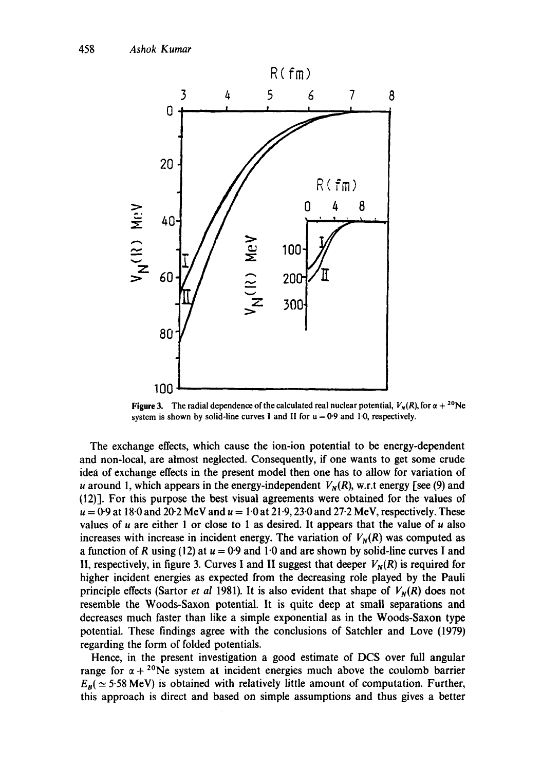

**Figure 3.** The radial dependence of the calculated real nuclear potential,  $V_N(R)$ , for  $\alpha + {}^{20}Ne$ system is shown by solid-line curves I and II for  $u = 0.9$  and 1.0, respectively.

The exchange effects, which cause the ion-ion potential to be energy-dependent and non-local, are almost neglected. Consequently, if one wants to get some crude idea of exchange effects in the present model then one has to allow for variation of u around 1, which appears in the energy-independent  $V_N(R)$ , w.r.t energy [see (9) and (12)]. For this purpose the best visual agreements were obtained for the values of  $u = 0.9$  at 18.0 and 20.2 MeV and  $u = 1.0$  at 21.9, 23.0 and 27.2 MeV, respectively. These values of  $u$  are either 1 or close to 1 as desired. It appears that the value of  $u$  also increases with increase in incident energy. The variation of  $V_N(R)$  was computed as a function of R using (12) at  $u = 0.9$  and 1.0 and are shown by solid-line curves I and II, respectively, in figure 3. Curves I and II suggest that deeper  $V_N(R)$  is required for higher incident energies as expected from the decreasing role played by the Pauli principle effects (Sartor *et al 1981*). It is also evident that shape of  $V_N(R)$  does not resemble the Woods-Saxon potential. It is quite deep at small separations and decreases much faster than like a simple exponential as in the Woods-Saxon type potential. These findings agree with the conclusions of Satchler and Love (1979) regarding the form of folded potentials.

Hence, in the present investigation a good estimate of DCS over full angular range for  $\alpha + {}^{20}Ne$  system at incident energies much above the coulomb barrier  $E_R$   $\approx$  5.58 MeV) is obtained with relatively little amount of computation. Further, this approach is direct and based on simple assumptions and thus gives a better